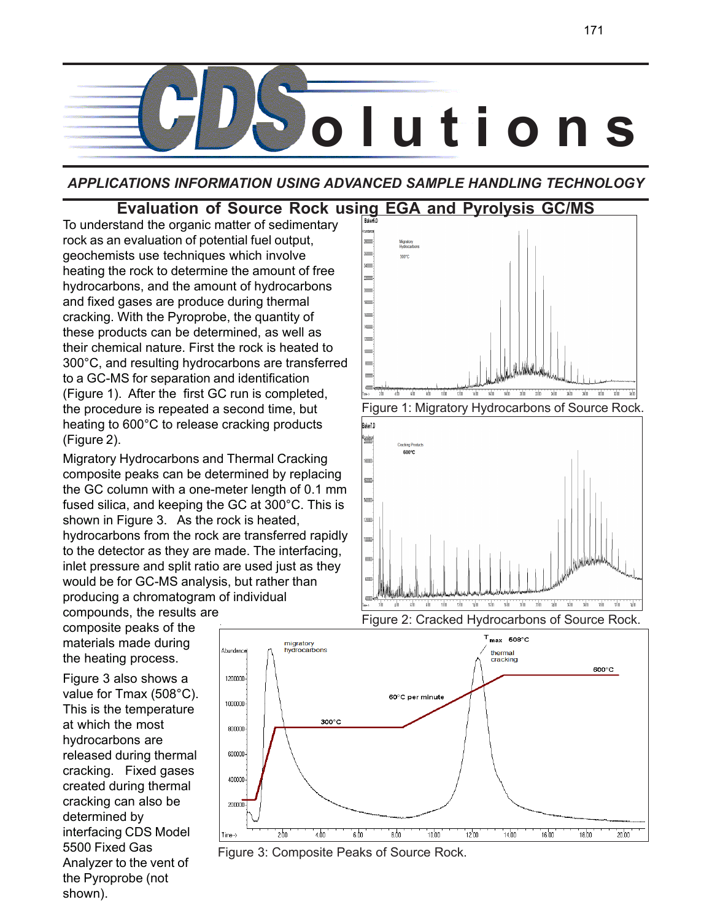

*APPLICATIONS INFORMATION USING ADVANCED SAMPLE HANDLING TECHNOLOGY*

# **Evaluation of Source Rock using EGA and Pyrolysis GC/MS**

To understand the organic matter of sedimentary rock as an evaluation of potential fuel output, geochemists use techniques which involve heating the rock to determine the amount of free hydrocarbons, and the amount of hydrocarbons and fixed gases are produce during thermal cracking. With the Pyroprobe, the quantity of these products can be determined, as well as their chemical nature. First the rock is heated to 300°C, and resulting hydrocarbons are transferred to a GC-MS for separation and identification (Figure 1). After the first GC run is completed, the procedure is repeated a second time, but heating to 600°C to release cracking products (Figure 2).

Migratory Hydrocarbons and Thermal Cracking composite peaks can be determined by replacing the GC column with a one-meter length of 0.1 mm fused silica, and keeping the GC at 300°C. This is shown in Figure 3. As the rock is heated, hydrocarbons from the rock are transferred rapidly to the detector as they are made. The interfacing, inlet pressure and split ratio are used just as they would be for GC-MS analysis, but rather than producing a chromatogram of individual

compounds, the results are composite peaks of the materials made during the heating process.

Figure 3 also shows a value for Tmax (508°C). This is the temperature at which the most hydrocarbons are released during thermal cracking. Fixed gases created during thermal cracking can also be determined by interfacing CDS Model 5500 Fixed Gas Analyzer to the vent of the Pyroprobe (not shown).



Figure 3: Composite Peaks of Source Rock.